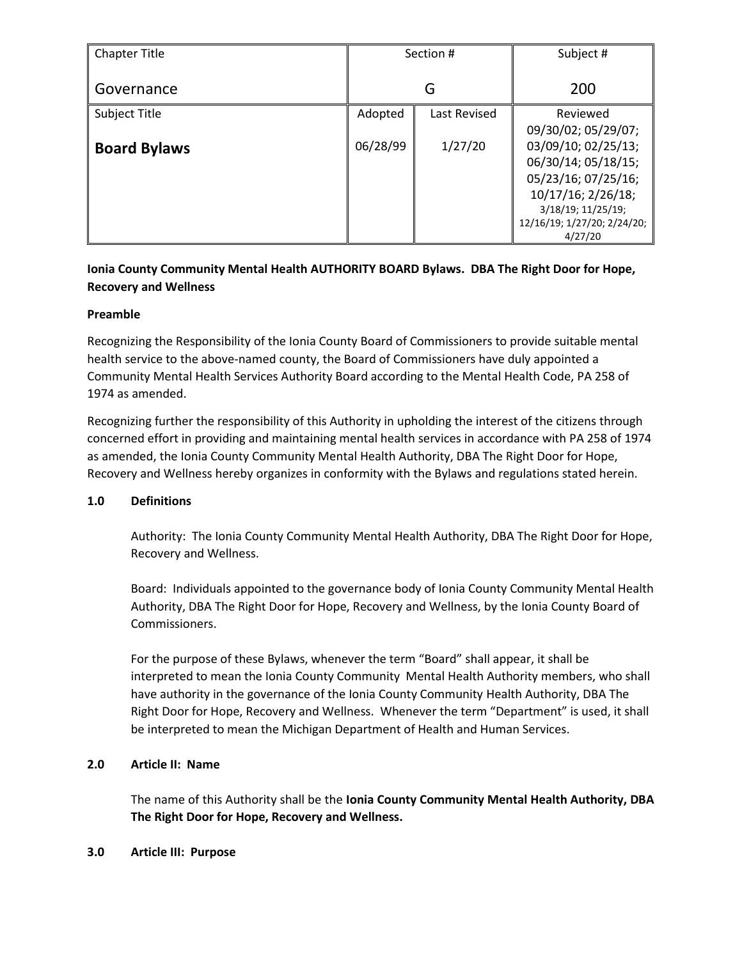| <b>Chapter Title</b> | Section # |              | Subject #                   |
|----------------------|-----------|--------------|-----------------------------|
| Governance           | G         |              | 200                         |
| Subject Title        | Adopted   | Last Revised | Reviewed                    |
|                      |           |              | 09/30/02; 05/29/07;         |
| <b>Board Bylaws</b>  | 06/28/99  | 1/27/20      | 03/09/10; 02/25/13;         |
|                      |           |              | 06/30/14; 05/18/15;         |
|                      |           |              | 05/23/16; 07/25/16;         |
|                      |           |              | 10/17/16; 2/26/18;          |
|                      |           |              | 3/18/19; 11/25/19;          |
|                      |           |              | 12/16/19; 1/27/20; 2/24/20; |
|                      |           |              | 4/27/20                     |

# **Ionia County Community Mental Health AUTHORITY BOARD Bylaws. DBA The Right Door for Hope, Recovery and Wellness**

## **Preamble**

Recognizing the Responsibility of the Ionia County Board of Commissioners to provide suitable mental health service to the above-named county, the Board of Commissioners have duly appointed a Community Mental Health Services Authority Board according to the Mental Health Code, PA 258 of 1974 as amended.

Recognizing further the responsibility of this Authority in upholding the interest of the citizens through concerned effort in providing and maintaining mental health services in accordance with PA 258 of 1974 as amended, the Ionia County Community Mental Health Authority, DBA The Right Door for Hope, Recovery and Wellness hereby organizes in conformity with the Bylaws and regulations stated herein.

### **1.0 Definitions**

Authority: The Ionia County Community Mental Health Authority, DBA The Right Door for Hope, Recovery and Wellness.

Board: Individuals appointed to the governance body of Ionia County Community Mental Health Authority, DBA The Right Door for Hope, Recovery and Wellness, by the Ionia County Board of Commissioners.

For the purpose of these Bylaws, whenever the term "Board" shall appear, it shall be interpreted to mean the Ionia County Community Mental Health Authority members, who shall have authority in the governance of the Ionia County Community Health Authority, DBA The Right Door for Hope, Recovery and Wellness. Whenever the term "Department" is used, it shall be interpreted to mean the Michigan Department of Health and Human Services.

### **2.0 Article II: Name**

The name of this Authority shall be the **Ionia County Community Mental Health Authority, DBA The Right Door for Hope, Recovery and Wellness.**

### **3.0 Article III: Purpose**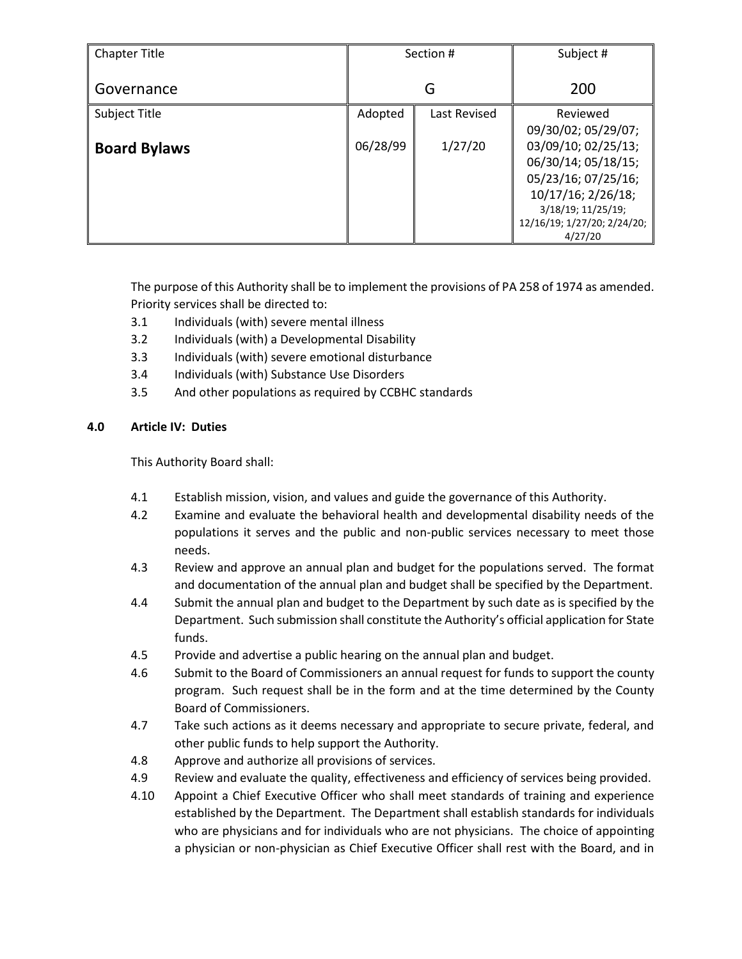| <b>Chapter Title</b> | Section # |              | Subject #                   |
|----------------------|-----------|--------------|-----------------------------|
| Governance           | G         |              | 200                         |
| Subject Title        | Adopted   | Last Revised | Reviewed                    |
|                      |           |              | 09/30/02; 05/29/07;         |
| <b>Board Bylaws</b>  | 06/28/99  | 1/27/20      | 03/09/10; 02/25/13;         |
|                      |           |              | 06/30/14; 05/18/15;         |
|                      |           |              | 05/23/16; 07/25/16;         |
|                      |           |              | 10/17/16; 2/26/18;          |
|                      |           |              | 3/18/19; 11/25/19;          |
|                      |           |              | 12/16/19; 1/27/20; 2/24/20; |
|                      |           |              | 4/27/20                     |

The purpose of this Authority shall be to implement the provisions of PA 258 of 1974 as amended. Priority services shall be directed to:

- 3.1 Individuals (with) severe mental illness
- 3.2 Individuals (with) a Developmental Disability
- 3.3 Individuals (with) severe emotional disturbance
- 3.4 Individuals (with) Substance Use Disorders
- 3.5 And other populations as required by CCBHC standards

## **4.0 Article IV: Duties**

This Authority Board shall:

- 4.1 Establish mission, vision, and values and guide the governance of this Authority.
- 4.2 Examine and evaluate the behavioral health and developmental disability needs of the populations it serves and the public and non-public services necessary to meet those needs.
- 4.3 Review and approve an annual plan and budget for the populations served. The format and documentation of the annual plan and budget shall be specified by the Department.
- 4.4 Submit the annual plan and budget to the Department by such date as is specified by the Department. Such submission shall constitute the Authority's official application for State funds.
- 4.5 Provide and advertise a public hearing on the annual plan and budget.
- 4.6 Submit to the Board of Commissioners an annual request for funds to support the county program. Such request shall be in the form and at the time determined by the County Board of Commissioners.
- 4.7 Take such actions as it deems necessary and appropriate to secure private, federal, and other public funds to help support the Authority.
- 4.8 Approve and authorize all provisions of services.
- 4.9 Review and evaluate the quality, effectiveness and efficiency of services being provided.
- 4.10 Appoint a Chief Executive Officer who shall meet standards of training and experience established by the Department. The Department shall establish standards for individuals who are physicians and for individuals who are not physicians. The choice of appointing a physician or non-physician as Chief Executive Officer shall rest with the Board, and in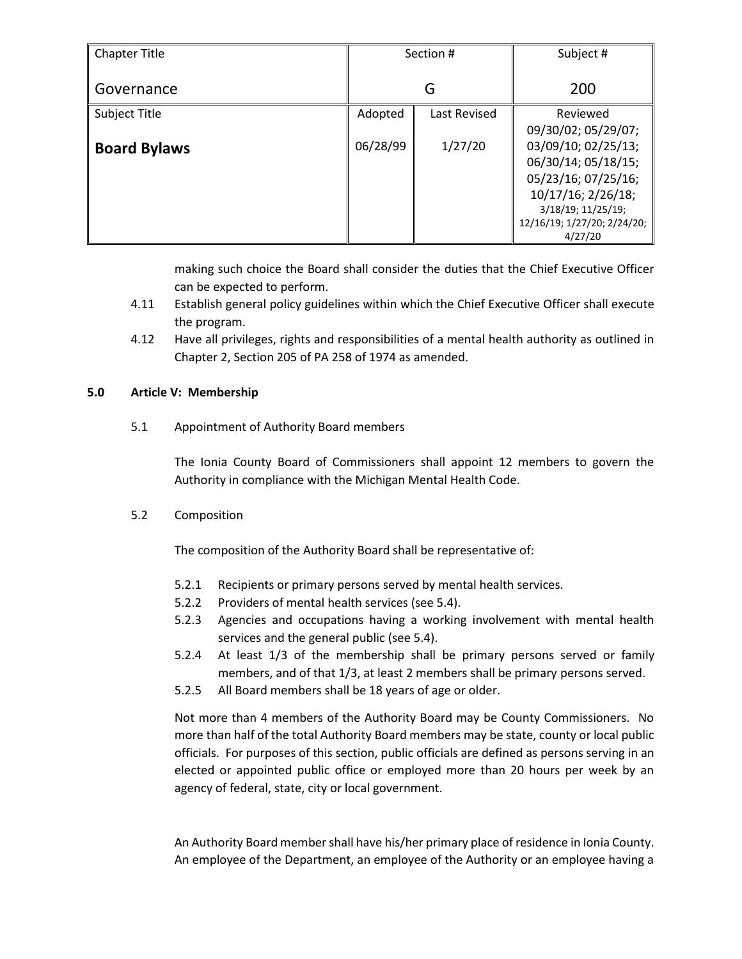| <b>Chapter Title</b> | Section # |              | Subject #                   |
|----------------------|-----------|--------------|-----------------------------|
| Governance           | G         |              | 200                         |
| Subject Title        | Adopted   | Last Revised | Reviewed                    |
|                      |           |              | 09/30/02; 05/29/07;         |
| <b>Board Bylaws</b>  | 06/28/99  | 1/27/20      | 03/09/10; 02/25/13;         |
|                      |           |              | 06/30/14; 05/18/15;         |
|                      |           |              | 05/23/16; 07/25/16;         |
|                      |           |              | 10/17/16; 2/26/18;          |
|                      |           |              | 3/18/19; 11/25/19;          |
|                      |           |              | 12/16/19; 1/27/20; 2/24/20; |
|                      |           |              | 4/27/20                     |

making such choice the Board shall consider the duties that the Chief Executive Officer can be expected to perform.

- 4.11 Establish general policy guidelines within which the Chief Executive Officer shall execute the program.
- 4.12 Have all privileges, rights and responsibilities of a mental health authority as outlined in Chapter 2, Section 205 of PA 258 of 1974 as amended.

## **5.0 Article V: Membership**

5.1 Appointment of Authority Board members

The Ionia County Board of Commissioners shall appoint 12 members to govern the Authority in compliance with the Michigan Mental Health Code.

5.2 Composition

The composition of the Authority Board shall be representative of:

- 5.2.1 Recipients or primary persons served by mental health services.
- 5.2.2 Providers of mental health services (see 5.4).
- 5.2.3 Agencies and occupations having a working involvement with mental health services and the general public (see 5.4).
- 5.2.4 At least 1/3 of the membership shall be primary persons served or family members, and of that 1/3, at least 2 members shall be primary persons served.
- 5.2.5 All Board members shall be 18 years of age or older.

Not more than 4 members of the Authority Board may be County Commissioners. No more than half of the total Authority Board members may be state, county or local public officials. For purposes of this section, public officials are defined as persons serving in an elected or appointed public office or employed more than 20 hours per week by an agency of federal, state, city or local government.

An Authority Board member shall have his/her primary place of residence in Ionia County. An employee of the Department, an employee of the Authority or an employee having a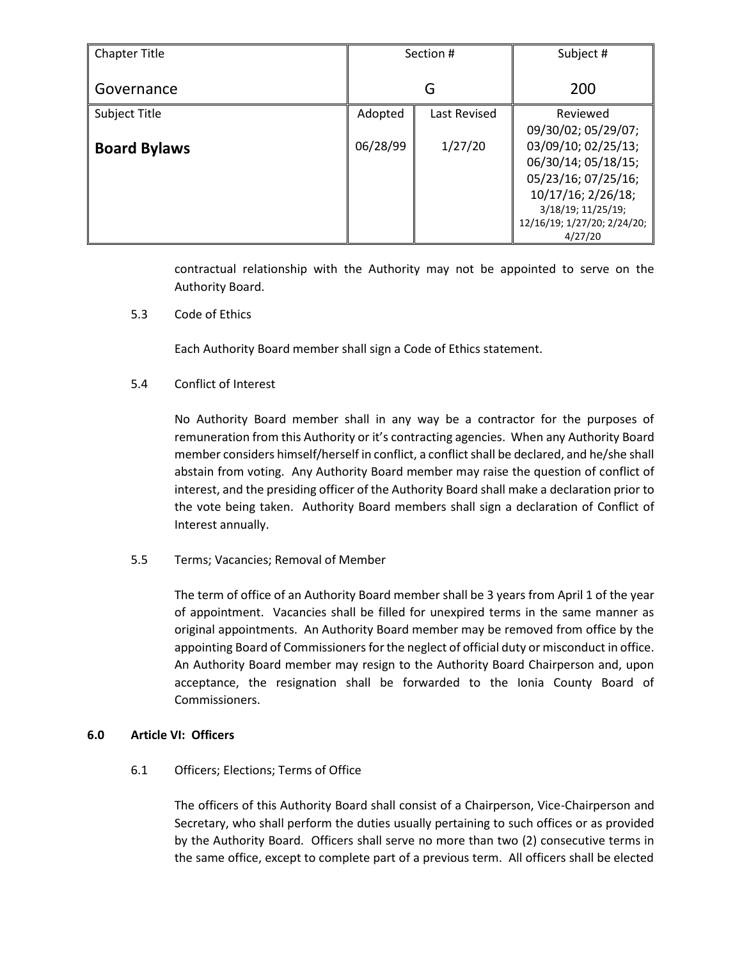| <b>Chapter Title</b> | Section # |              | Subject #                   |
|----------------------|-----------|--------------|-----------------------------|
| Governance           | G         |              | 200                         |
| Subject Title        | Adopted   | Last Revised | Reviewed                    |
|                      |           |              | 09/30/02; 05/29/07;         |
| <b>Board Bylaws</b>  | 06/28/99  | 1/27/20      | 03/09/10; 02/25/13;         |
|                      |           |              | 06/30/14; 05/18/15;         |
|                      |           |              | 05/23/16; 07/25/16;         |
|                      |           |              | 10/17/16; 2/26/18;          |
|                      |           |              | 3/18/19; 11/25/19;          |
|                      |           |              | 12/16/19; 1/27/20; 2/24/20; |
|                      |           |              | 4/27/20                     |

contractual relationship with the Authority may not be appointed to serve on the Authority Board.

5.3 Code of Ethics

Each Authority Board member shall sign a Code of Ethics statement.

## 5.4 Conflict of Interest

No Authority Board member shall in any way be a contractor for the purposes of remuneration from this Authority or it's contracting agencies. When any Authority Board member considers himself/herself in conflict, a conflict shall be declared, and he/she shall abstain from voting. Any Authority Board member may raise the question of conflict of interest, and the presiding officer of the Authority Board shall make a declaration prior to the vote being taken. Authority Board members shall sign a declaration of Conflict of Interest annually.

5.5 Terms; Vacancies; Removal of Member

The term of office of an Authority Board member shall be 3 years from April 1 of the year of appointment. Vacancies shall be filled for unexpired terms in the same manner as original appointments. An Authority Board member may be removed from office by the appointing Board of Commissioners for the neglect of official duty or misconduct in office. An Authority Board member may resign to the Authority Board Chairperson and, upon acceptance, the resignation shall be forwarded to the Ionia County Board of Commissioners.

### **6.0 Article VI: Officers**

## 6.1 Officers; Elections; Terms of Office

The officers of this Authority Board shall consist of a Chairperson, Vice-Chairperson and Secretary, who shall perform the duties usually pertaining to such offices or as provided by the Authority Board. Officers shall serve no more than two (2) consecutive terms in the same office, except to complete part of a previous term. All officers shall be elected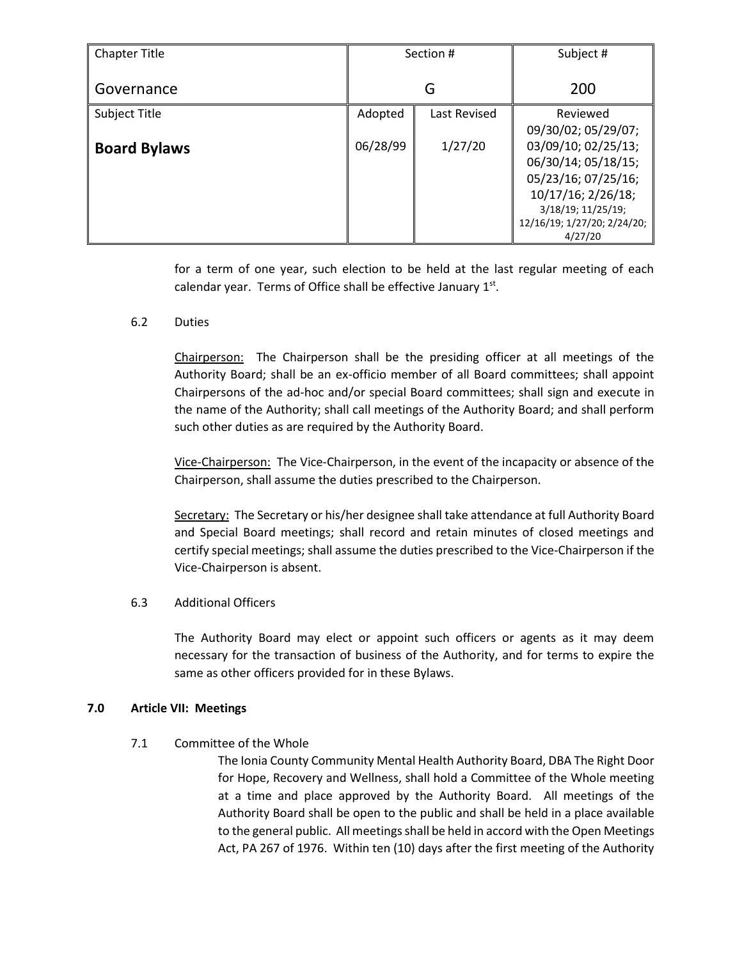| <b>Chapter Title</b> | Section # |              | Subject #                   |
|----------------------|-----------|--------------|-----------------------------|
| Governance           | G         |              | 200                         |
| Subject Title        | Adopted   | Last Revised | Reviewed                    |
|                      |           |              | 09/30/02; 05/29/07;         |
| <b>Board Bylaws</b>  | 06/28/99  | 1/27/20      | 03/09/10; 02/25/13;         |
|                      |           |              | 06/30/14; 05/18/15;         |
|                      |           |              | 05/23/16; 07/25/16;         |
|                      |           |              | 10/17/16; 2/26/18;          |
|                      |           |              | 3/18/19; 11/25/19;          |
|                      |           |              | 12/16/19; 1/27/20; 2/24/20; |
|                      |           |              | 4/27/20                     |

for a term of one year, such election to be held at the last regular meeting of each calendar year. Terms of Office shall be effective January  $1<sup>st</sup>$ .

6.2 Duties

Chairperson: The Chairperson shall be the presiding officer at all meetings of the Authority Board; shall be an ex-officio member of all Board committees; shall appoint Chairpersons of the ad-hoc and/or special Board committees; shall sign and execute in the name of the Authority; shall call meetings of the Authority Board; and shall perform such other duties as are required by the Authority Board.

Vice-Chairperson: The Vice-Chairperson, in the event of the incapacity or absence of the Chairperson, shall assume the duties prescribed to the Chairperson.

Secretary: The Secretary or his/her designee shall take attendance at full Authority Board and Special Board meetings; shall record and retain minutes of closed meetings and certify special meetings; shall assume the duties prescribed to the Vice-Chairperson if the Vice-Chairperson is absent.

### 6.3 Additional Officers

The Authority Board may elect or appoint such officers or agents as it may deem necessary for the transaction of business of the Authority, and for terms to expire the same as other officers provided for in these Bylaws.

### **7.0 Article VII: Meetings**

7.1 Committee of the Whole

The Ionia County Community Mental Health Authority Board, DBA The Right Door for Hope, Recovery and Wellness, shall hold a Committee of the Whole meeting at a time and place approved by the Authority Board. All meetings of the Authority Board shall be open to the public and shall be held in a place available to the general public. All meetings shall be held in accord with the Open Meetings Act, PA 267 of 1976. Within ten (10) days after the first meeting of the Authority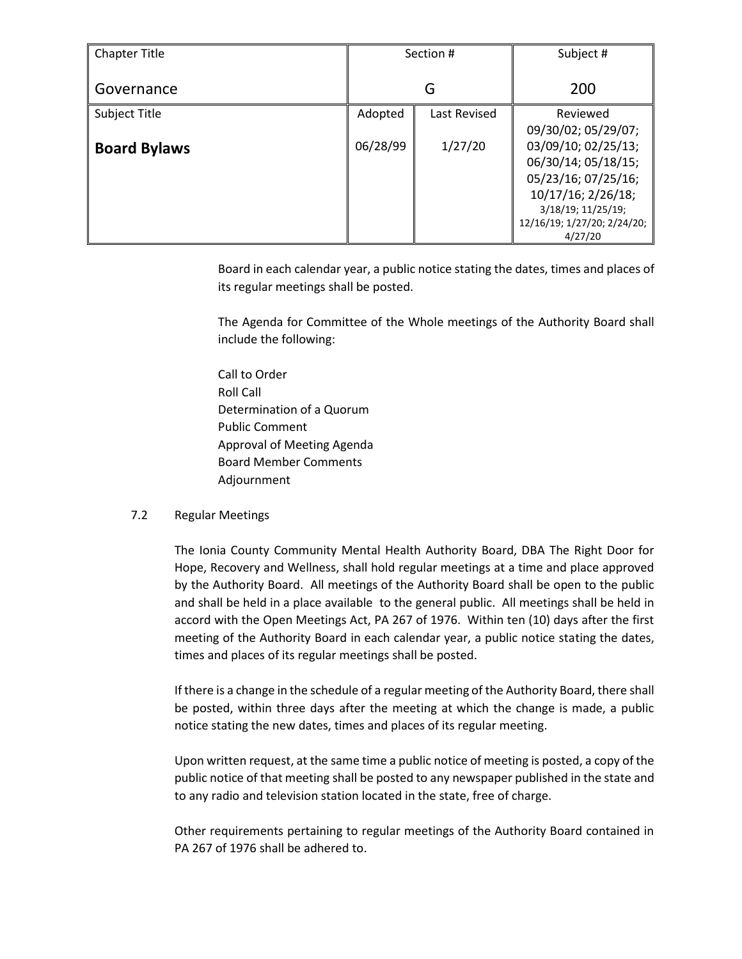| <b>Chapter Title</b> | Section # |              | Subject #                   |
|----------------------|-----------|--------------|-----------------------------|
| Governance           | G         |              | 200                         |
| Subject Title        | Adopted   | Last Revised | Reviewed                    |
|                      |           |              | 09/30/02; 05/29/07;         |
| <b>Board Bylaws</b>  | 06/28/99  | 1/27/20      | 03/09/10; 02/25/13;         |
|                      |           |              | 06/30/14; 05/18/15;         |
|                      |           |              | 05/23/16; 07/25/16;         |
|                      |           |              | 10/17/16; 2/26/18;          |
|                      |           |              | 3/18/19; 11/25/19;          |
|                      |           |              | 12/16/19; 1/27/20; 2/24/20; |
|                      |           |              | 4/27/20                     |

Board in each calendar year, a public notice stating the dates, times and places of its regular meetings shall be posted.

The Agenda for Committee of the Whole meetings of the Authority Board shall include the following:

Call to Order Roll Call Determination of a Quorum Public Comment Approval of Meeting Agenda Board Member Comments Adjournment

### 7.2 Regular Meetings

The Ionia County Community Mental Health Authority Board, DBA The Right Door for Hope, Recovery and Wellness, shall hold regular meetings at a time and place approved by the Authority Board. All meetings of the Authority Board shall be open to the public and shall be held in a place available to the general public. All meetings shall be held in accord with the Open Meetings Act, PA 267 of 1976. Within ten (10) days after the first meeting of the Authority Board in each calendar year, a public notice stating the dates, times and places of its regular meetings shall be posted.

If there is a change in the schedule of a regular meeting of the Authority Board, there shall be posted, within three days after the meeting at which the change is made, a public notice stating the new dates, times and places of its regular meeting.

Upon written request, at the same time a public notice of meeting is posted, a copy of the public notice of that meeting shall be posted to any newspaper published in the state and to any radio and television station located in the state, free of charge.

Other requirements pertaining to regular meetings of the Authority Board contained in PA 267 of 1976 shall be adhered to.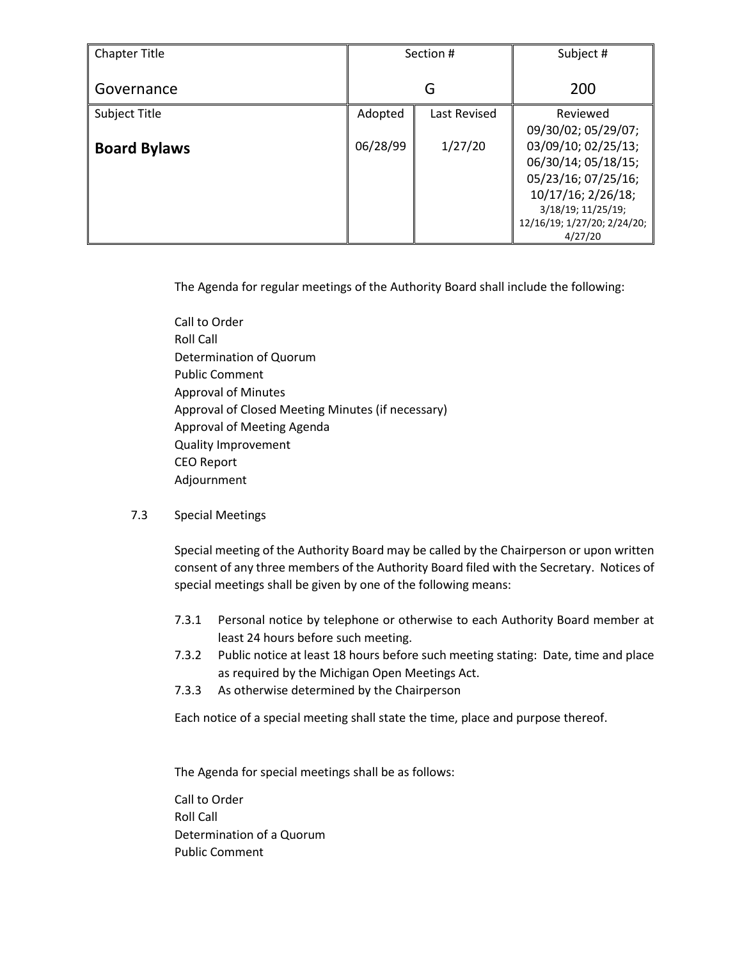| <b>Chapter Title</b> | Section # |              | Subject #                   |
|----------------------|-----------|--------------|-----------------------------|
| Governance           | G         |              | 200                         |
| Subject Title        | Adopted   | Last Revised | Reviewed                    |
|                      |           |              | 09/30/02; 05/29/07;         |
| <b>Board Bylaws</b>  | 06/28/99  | 1/27/20      | 03/09/10; 02/25/13;         |
|                      |           |              | 06/30/14; 05/18/15;         |
|                      |           |              | 05/23/16; 07/25/16;         |
|                      |           |              | 10/17/16; 2/26/18;          |
|                      |           |              | 3/18/19; 11/25/19;          |
|                      |           |              | 12/16/19; 1/27/20; 2/24/20; |
|                      |           |              | 4/27/20                     |

The Agenda for regular meetings of the Authority Board shall include the following:

Call to Order Roll Call Determination of Quorum Public Comment Approval of Minutes Approval of Closed Meeting Minutes (if necessary) Approval of Meeting Agenda Quality Improvement CEO Report Adjournment

## 7.3 Special Meetings

Special meeting of the Authority Board may be called by the Chairperson or upon written consent of any three members of the Authority Board filed with the Secretary. Notices of special meetings shall be given by one of the following means:

- 7.3.1 Personal notice by telephone or otherwise to each Authority Board member at least 24 hours before such meeting.
- 7.3.2 Public notice at least 18 hours before such meeting stating: Date, time and place as required by the Michigan Open Meetings Act.
- 7.3.3 As otherwise determined by the Chairperson

Each notice of a special meeting shall state the time, place and purpose thereof.

The Agenda for special meetings shall be as follows:

Call to Order Roll Call Determination of a Quorum Public Comment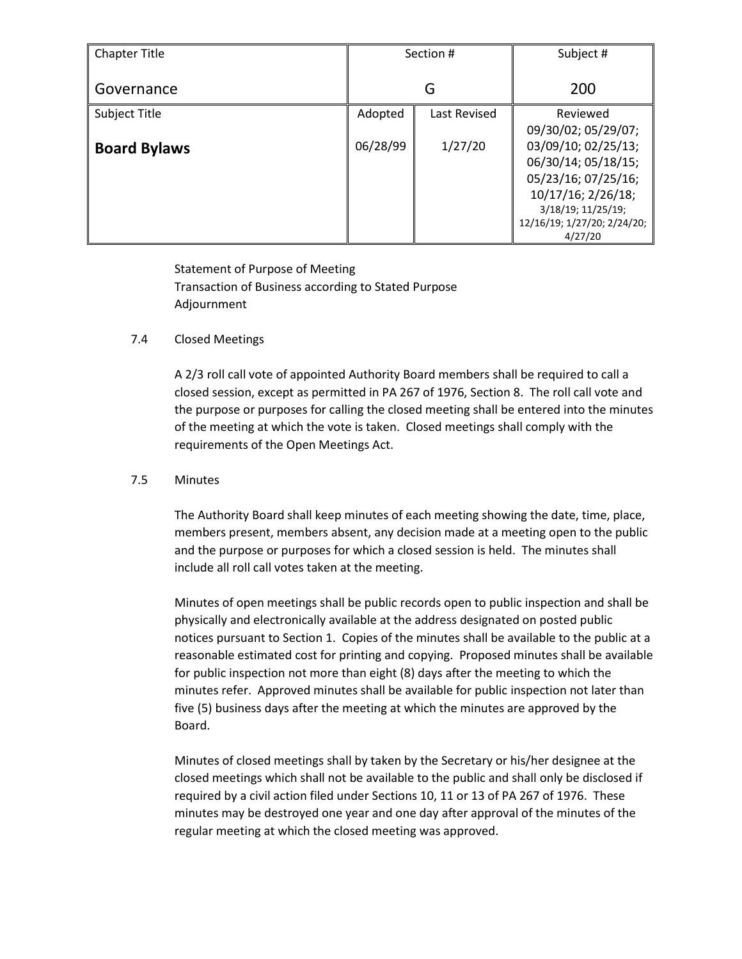| <b>Chapter Title</b> | Section # |              | Subject #                   |
|----------------------|-----------|--------------|-----------------------------|
| Governance           | G         |              | 200                         |
| Subject Title        | Adopted   | Last Revised | Reviewed                    |
|                      |           |              | 09/30/02; 05/29/07;         |
| <b>Board Bylaws</b>  | 06/28/99  | 1/27/20      | 03/09/10; 02/25/13;         |
|                      |           |              | 06/30/14; 05/18/15;         |
|                      |           |              | 05/23/16; 07/25/16;         |
|                      |           |              | 10/17/16; 2/26/18;          |
|                      |           |              | 3/18/19; 11/25/19;          |
|                      |           |              | 12/16/19; 1/27/20; 2/24/20; |
|                      |           |              | 4/27/20                     |

Statement of Purpose of Meeting Transaction of Business according to Stated Purpose Adjournment

## 7.4 Closed Meetings

A 2/3 roll call vote of appointed Authority Board members shall be required to call a closed session, except as permitted in PA 267 of 1976, Section 8. The roll call vote and the purpose or purposes for calling the closed meeting shall be entered into the minutes of the meeting at which the vote is taken. Closed meetings shall comply with the requirements of the Open Meetings Act.

## 7.5 Minutes

The Authority Board shall keep minutes of each meeting showing the date, time, place, members present, members absent, any decision made at a meeting open to the public and the purpose or purposes for which a closed session is held. The minutes shall include all roll call votes taken at the meeting.

Minutes of open meetings shall be public records open to public inspection and shall be physically and electronically available at the address designated on posted public notices pursuant to Section 1. Copies of the minutes shall be available to the public at a reasonable estimated cost for printing and copying. Proposed minutes shall be available for public inspection not more than eight (8) days after the meeting to which the minutes refer. Approved minutes shall be available for public inspection not later than five (5) business days after the meeting at which the minutes are approved by the Board.

Minutes of closed meetings shall by taken by the Secretary or his/her designee at the closed meetings which shall not be available to the public and shall only be disclosed if required by a civil action filed under Sections 10, 11 or 13 of PA 267 of 1976. These minutes may be destroyed one year and one day after approval of the minutes of the regular meeting at which the closed meeting was approved.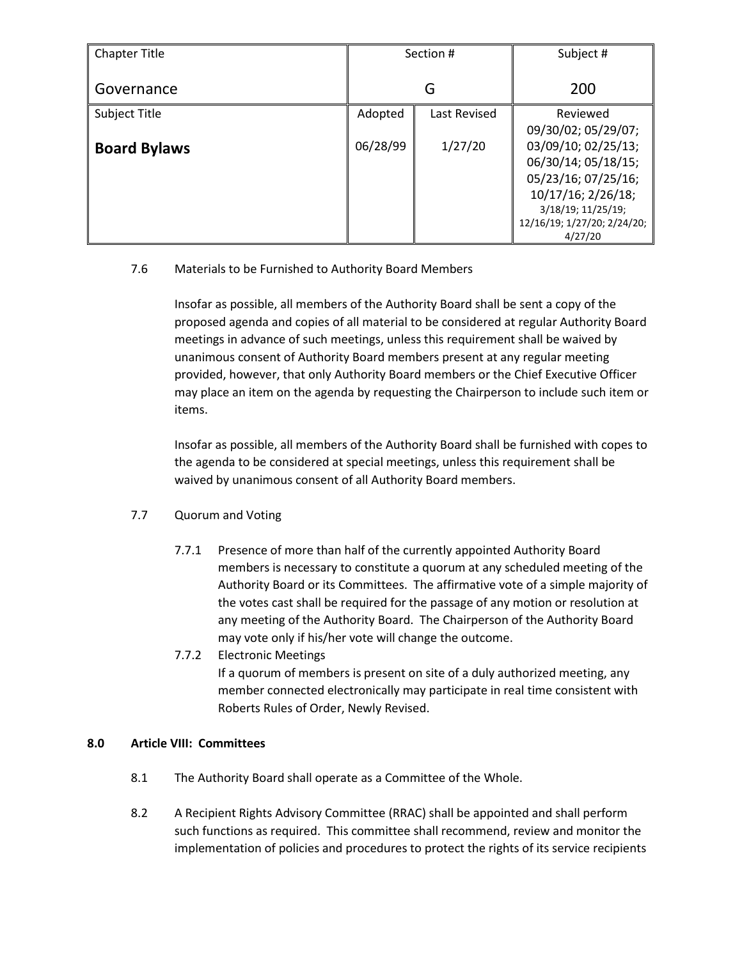| <b>Chapter Title</b> | Section # |              | Subject #                   |
|----------------------|-----------|--------------|-----------------------------|
| Governance           | G         |              | 200                         |
| Subject Title        | Adopted   | Last Revised | Reviewed                    |
|                      |           |              | 09/30/02; 05/29/07;         |
| <b>Board Bylaws</b>  | 06/28/99  | 1/27/20      | 03/09/10; 02/25/13;         |
|                      |           |              | 06/30/14; 05/18/15;         |
|                      |           |              | 05/23/16; 07/25/16;         |
|                      |           |              | 10/17/16; 2/26/18;          |
|                      |           |              | 3/18/19; 11/25/19;          |
|                      |           |              | 12/16/19; 1/27/20; 2/24/20; |
|                      |           |              | 4/27/20                     |

## 7.6 Materials to be Furnished to Authority Board Members

Insofar as possible, all members of the Authority Board shall be sent a copy of the proposed agenda and copies of all material to be considered at regular Authority Board meetings in advance of such meetings, unless this requirement shall be waived by unanimous consent of Authority Board members present at any regular meeting provided, however, that only Authority Board members or the Chief Executive Officer may place an item on the agenda by requesting the Chairperson to include such item or items.

Insofar as possible, all members of the Authority Board shall be furnished with copes to the agenda to be considered at special meetings, unless this requirement shall be waived by unanimous consent of all Authority Board members.

## 7.7 Quorum and Voting

- 7.7.1 Presence of more than half of the currently appointed Authority Board members is necessary to constitute a quorum at any scheduled meeting of the Authority Board or its Committees. The affirmative vote of a simple majority of the votes cast shall be required for the passage of any motion or resolution at any meeting of the Authority Board. The Chairperson of the Authority Board may vote only if his/her vote will change the outcome.
- 7.7.2 Electronic Meetings If a quorum of members is present on site of a duly authorized meeting, any member connected electronically may participate in real time consistent with Roberts Rules of Order, Newly Revised.

## **8.0 Article VIII: Committees**

- 8.1 The Authority Board shall operate as a Committee of the Whole.
- 8.2 A Recipient Rights Advisory Committee (RRAC) shall be appointed and shall perform such functions as required. This committee shall recommend, review and monitor the implementation of policies and procedures to protect the rights of its service recipients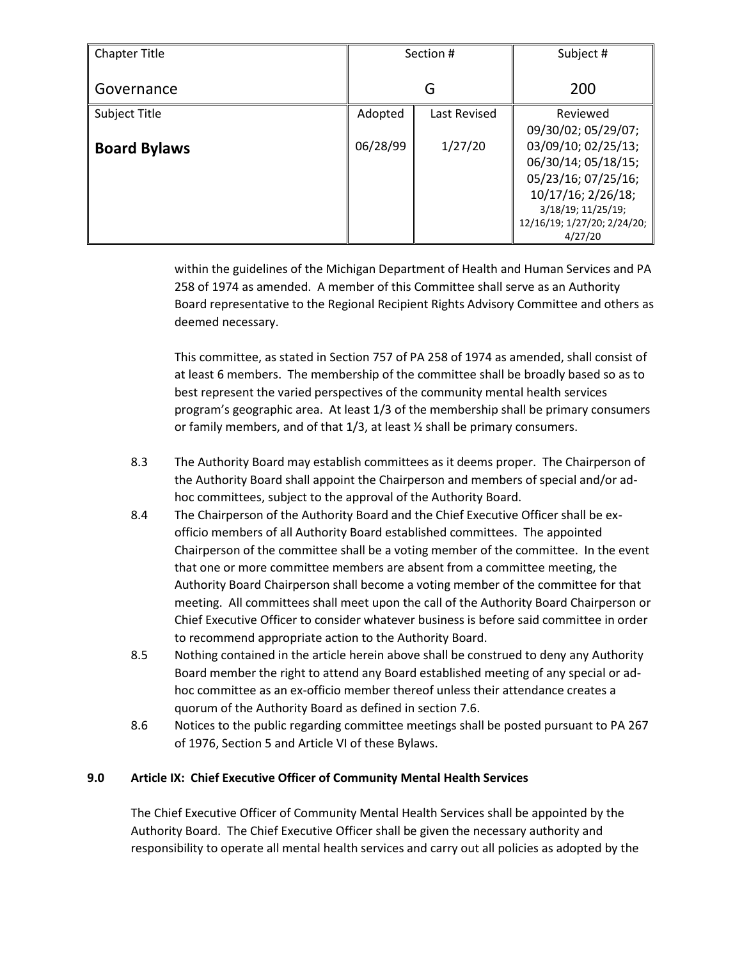| <b>Chapter Title</b> | Section # |              | Subject #                   |
|----------------------|-----------|--------------|-----------------------------|
| Governance           | G         |              | 200                         |
| Subject Title        | Adopted   | Last Revised | Reviewed                    |
|                      |           |              | 09/30/02; 05/29/07;         |
| <b>Board Bylaws</b>  | 06/28/99  | 1/27/20      | 03/09/10; 02/25/13;         |
|                      |           |              | 06/30/14; 05/18/15;         |
|                      |           |              | 05/23/16; 07/25/16;         |
|                      |           |              | 10/17/16; 2/26/18;          |
|                      |           |              | 3/18/19; 11/25/19;          |
|                      |           |              | 12/16/19; 1/27/20; 2/24/20; |
|                      |           |              | 4/27/20                     |

within the guidelines of the Michigan Department of Health and Human Services and PA 258 of 1974 as amended. A member of this Committee shall serve as an Authority Board representative to the Regional Recipient Rights Advisory Committee and others as deemed necessary.

This committee, as stated in Section 757 of PA 258 of 1974 as amended, shall consist of at least 6 members. The membership of the committee shall be broadly based so as to best represent the varied perspectives of the community mental health services program's geographic area. At least 1/3 of the membership shall be primary consumers or family members, and of that 1/3, at least ½ shall be primary consumers.

- 8.3 The Authority Board may establish committees as it deems proper. The Chairperson of the Authority Board shall appoint the Chairperson and members of special and/or adhoc committees, subject to the approval of the Authority Board.
- 8.4 The Chairperson of the Authority Board and the Chief Executive Officer shall be exofficio members of all Authority Board established committees. The appointed Chairperson of the committee shall be a voting member of the committee. In the event that one or more committee members are absent from a committee meeting, the Authority Board Chairperson shall become a voting member of the committee for that meeting. All committees shall meet upon the call of the Authority Board Chairperson or Chief Executive Officer to consider whatever business is before said committee in order to recommend appropriate action to the Authority Board.
- 8.5 Nothing contained in the article herein above shall be construed to deny any Authority Board member the right to attend any Board established meeting of any special or adhoc committee as an ex-officio member thereof unless their attendance creates a quorum of the Authority Board as defined in section 7.6.
- 8.6 Notices to the public regarding committee meetings shall be posted pursuant to PA 267 of 1976, Section 5 and Article VI of these Bylaws.

## **9.0 Article IX: Chief Executive Officer of Community Mental Health Services**

The Chief Executive Officer of Community Mental Health Services shall be appointed by the Authority Board. The Chief Executive Officer shall be given the necessary authority and responsibility to operate all mental health services and carry out all policies as adopted by the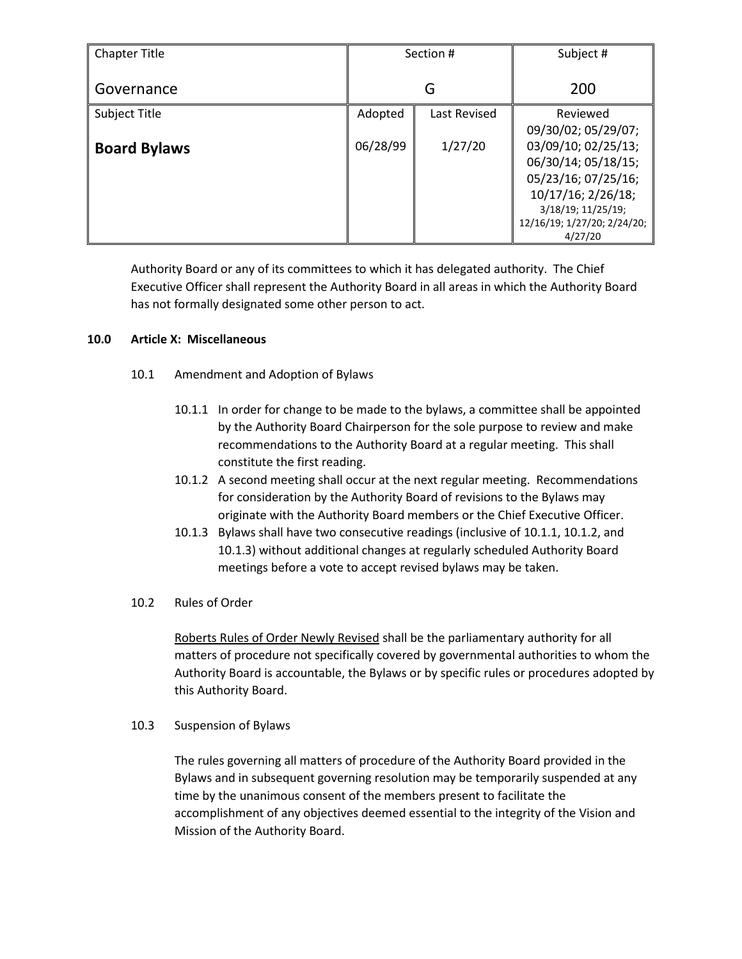| <b>Chapter Title</b> | Section # |              | Subject #                   |
|----------------------|-----------|--------------|-----------------------------|
| Governance           | G         |              | 200                         |
| Subject Title        | Adopted   | Last Revised | Reviewed                    |
|                      |           |              | 09/30/02; 05/29/07;         |
| <b>Board Bylaws</b>  | 06/28/99  | 1/27/20      | 03/09/10; 02/25/13;         |
|                      |           |              | 06/30/14; 05/18/15;         |
|                      |           |              | 05/23/16; 07/25/16;         |
|                      |           |              | 10/17/16; 2/26/18;          |
|                      |           |              | 3/18/19; 11/25/19;          |
|                      |           |              | 12/16/19; 1/27/20; 2/24/20; |
|                      |           |              | 4/27/20                     |

Authority Board or any of its committees to which it has delegated authority. The Chief Executive Officer shall represent the Authority Board in all areas in which the Authority Board has not formally designated some other person to act.

## **10.0 Article X: Miscellaneous**

- 10.1 Amendment and Adoption of Bylaws
	- 10.1.1 In order for change to be made to the bylaws, a committee shall be appointed by the Authority Board Chairperson for the sole purpose to review and make recommendations to the Authority Board at a regular meeting. This shall constitute the first reading.
	- 10.1.2 A second meeting shall occur at the next regular meeting. Recommendations for consideration by the Authority Board of revisions to the Bylaws may originate with the Authority Board members or the Chief Executive Officer.
	- 10.1.3 Bylaws shall have two consecutive readings (inclusive of 10.1.1, 10.1.2, and 10.1.3) without additional changes at regularly scheduled Authority Board meetings before a vote to accept revised bylaws may be taken.
- 10.2 Rules of Order

Roberts Rules of Order Newly Revised shall be the parliamentary authority for all matters of procedure not specifically covered by governmental authorities to whom the Authority Board is accountable, the Bylaws or by specific rules or procedures adopted by this Authority Board.

10.3 Suspension of Bylaws

The rules governing all matters of procedure of the Authority Board provided in the Bylaws and in subsequent governing resolution may be temporarily suspended at any time by the unanimous consent of the members present to facilitate the accomplishment of any objectives deemed essential to the integrity of the Vision and Mission of the Authority Board.